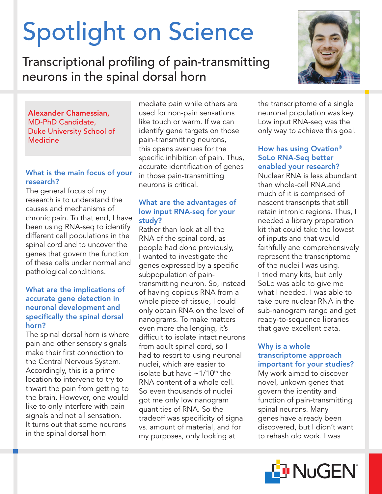# Spotlight on Science

Transcriptional profiling of pain-transmitting neurons in the spinal dorsal horn



Alexander Chamessian, MD-PhD Candidate, Duke University School of **Medicine** 

## What is the main focus of your research?

The general focus of my research is to understand the causes and mechanisms of chronic pain. To that end, I have been using RNA-seq to identify different cell populations in the spinal cord and to uncover the genes that govern the function of these cells under normal and pathological conditions.

#### What are the implications of accurate gene detection in neuronal development and specifically the spinal dorsal horn?

The spinal dorsal horn is where pain and other sensory signals make their first connection to the Central Nervous System. Accordingly, this is a prime location to intervene to try to thwart the pain from getting to the brain. However, one would like to only interfere with pain signals and not all sensation. It turns out that some neurons in the spinal dorsal horn

mediate pain while others are used for non-pain sensations like touch or warm. If we can identify gene targets on those pain-transmitting neurons, this opens avenues for the specific inhibition of pain. Thus, accurate identification of genes in those pain-transmitting neurons is critical.

## What are the advantages of low input RNA-seq for your study?

Rather than look at all the RNA of the spinal cord, as people had done previously, I wanted to investigate the genes expressed by a specific subpopulation of paintransmitting neuron. So, instead of having copious RNA from a whole piece of tissue, I could only obtain RNA on the level of nanograms. To make matters even more challenging, it's difficult to isolate intact neurons from adult spinal cord, so I had to resort to using neuronal nuclei, which are easier to isolate but have  $\sim$  1/10<sup>th</sup> the RNA content of a whole cell. So even thousands of nuclei got me only low nanogram quantities of RNA. So the tradeoff was specificity of signal vs. amount of material, and for my purposes, only looking at

the transcriptome of a single neuronal population was key. Low input RNA-seq was the only way to achieve this goal.

## How has using Ovation® SoLo RNA-Seq better enabled your research?

Nuclear RNA is less abundant than whole-cell RNA,and much of it is comprised of nascent transcripts that still retain intronic regions. Thus, I needed a library preparation kit that could take the lowest of inputs and that would faithfully and comprehensively represent the transcriptome of the nuclei I was using. I tried many kits, but only SoLo was able to give me what I needed. I was able to take pure nuclear RNA in the sub-nanogram range and get ready-to-sequence libraries that gave excellent data.

# Why is a whole transcriptome approach important for your studies?

My work aimed to discover novel, unkown genes that govern the identity and function of pain-transmitting spinal neurons. Many genes have already been discovered, but I didn't want to rehash old work. I was